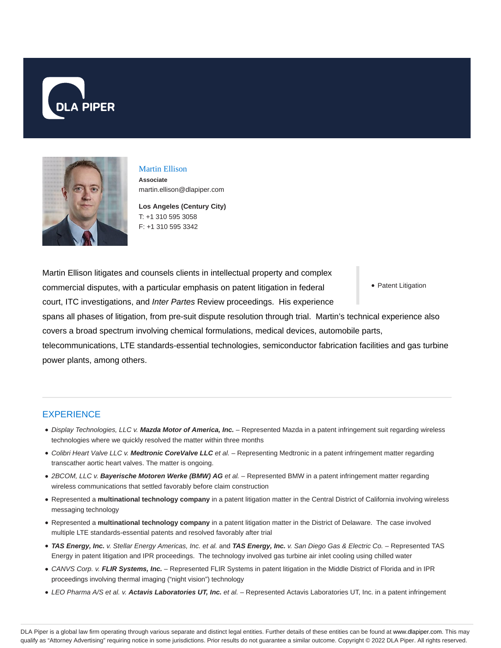



# Martin Ellison

**Associate** martin.ellison@dlapiper.com

**Los Angeles (Century City)** T: +1 310 595 3058 F: +1 310 595 3342

Martin Ellison litigates and counsels clients in intellectual property and complex commercial disputes, with a particular emphasis on patent litigation in federal court, ITC investigations, and Inter Partes Review proceedings. His experience

• Patent Litigation

spans all phases of litigation, from pre-suit dispute resolution through trial. Martin's technical experience also covers a broad spectrum involving chemical formulations, medical devices, automobile parts,

telecommunications, LTE standards-essential technologies, semiconductor fabrication facilities and gas turbine power plants, among others.

## **EXPERIENCE**

- Display Technologies, LLC v. **Mazda Motor of America, Inc.** Represented Mazda in a patent infringement suit regarding wireless technologies where we quickly resolved the matter within three months
- Colibri Heart Valve LLC v. **Medtronic CoreValve LLC** et al. Representing Medtronic in a patent infringement matter regarding transcather aortic heart valves. The matter is ongoing.
- 2BCOM, LLC v. **Bayerische Motoren Werke (BMW) AG** et al. Represented BMW in a patent infringement matter regarding wireless communications that settled favorably before claim construction
- Represented a **multinational technology company** in a patent litigation matter in the Central District of California involving wireless messaging technology
- Represented a **multinational technology company** in a patent litigation matter in the District of Delaware. The case involved multiple LTE standards-essential patents and resolved favorably after trial
- **TAS Energy, Inc.** v. Stellar Energy Americas, Inc. et al. and **TAS Energy, Inc.** v. San Diego Gas & Electric Co. Represented TAS Energy in patent litigation and IPR proceedings. The technology involved gas turbine air inlet cooling using chilled water
- CANVS Corp. v. **FLIR Systems, Inc.** Represented FLIR Systems in patent litigation in the Middle District of Florida and in IPR proceedings involving thermal imaging ("night vision") technology
- LEO Pharma A/S et al. v. **Actavis Laboratories UT, Inc.** et al. Represented Actavis Laboratories UT, Inc. in a patent infringement